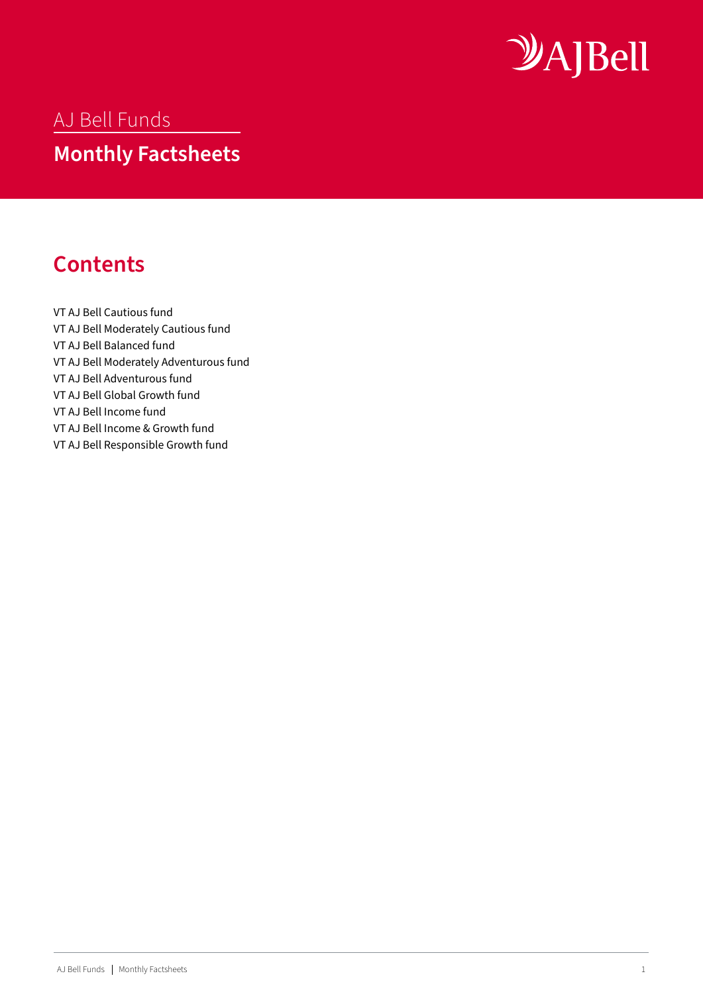

### <span id="page-0-0"></span>AJ Bell Funds

## **Monthly Factsheets**

## **Contents**

[VT AJ Bell Cautious fund](#page-1-0)  [VT AJ Bell Moderately Cautious fund](#page-3-0)  [VT AJ Bell Balanced fund](#page-5-0)  [VT AJ Bell Moderately Adventurous fund](#page-7-0)  [VT AJ Bell Adventurous fund](#page-9-0)  [VT AJ Bell Global Growth fund](#page-11-0) [VT AJ Bell Income fund](#page-13-0) [VT AJ Bell Income & Growth fund](#page-15-0) [VT AJ Bell Responsible Growth fund](#page-17-0)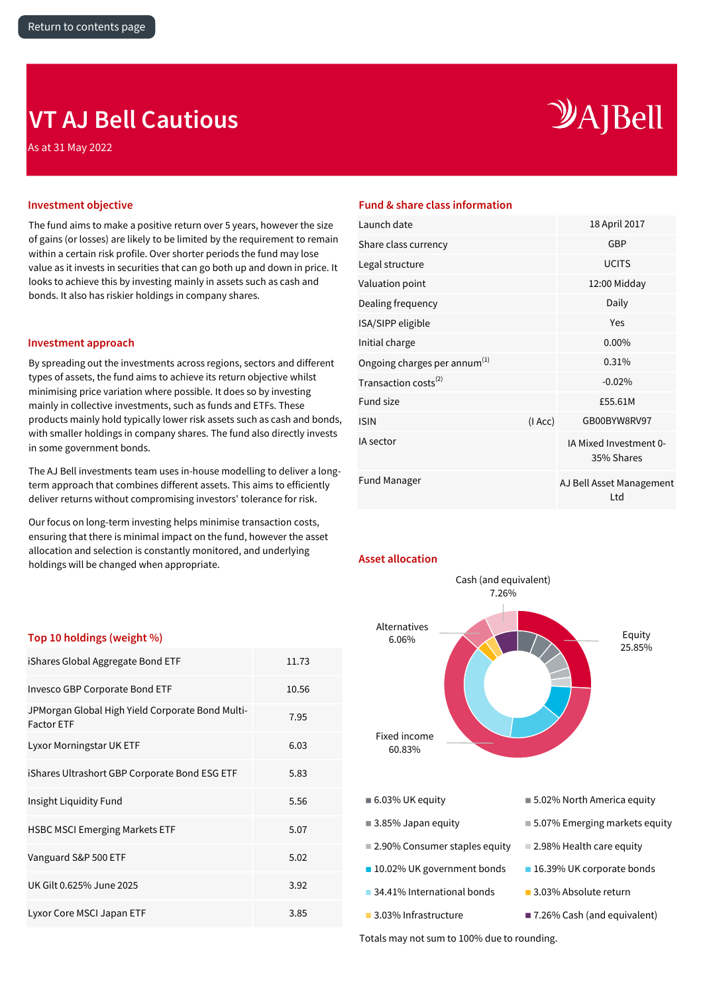## <span id="page-1-0"></span>**VT AJ Bell Cautious**

As at 31 May 2022

# $\mathcal{Y}$ A]Bell

The fund aims to make a positive return over 5 years, however the size of gains (or losses) are likely to be limited by the requirement to remain within a certain risk profile. Over shorter periods the fund may lose value as it invests in securities that can go both up and down in price. It looks to achieve this by investing mainly in assets such as cash and bonds. It also has riskier holdings in company shares.

### **Investment approach**

By spreading out the investments across regions, sectors and different types of assets, the fund aims to achieve its return objective whilst minimising price variation where possible. It does so by investing mainly in collective investments, such as funds and ETFs. These products mainly hold typically lower risk assets such as cash and bonds, with smaller holdings in company shares. The fund also directly invests in some government bonds.

The AJ Bell investments team uses in-house modelling to deliver a longterm approach that combines different assets. This aims to efficiently deliver returns without compromising investors' tolerance for risk.

Our focus on long-term investing helps minimise transaction costs, ensuring that there is minimal impact on the fund, however the asset allocation and selection is constantly monitored, and underlying holdings will be changed when appropriate.

### **Investment objective Fund & share class information**

| Launch date                              |        | 18 April 2017                        |
|------------------------------------------|--------|--------------------------------------|
| Share class currency                     |        | <b>GBP</b>                           |
| Legal structure                          |        | <b>UCITS</b>                         |
| Valuation point                          |        | 12:00 Midday                         |
| Dealing frequency                        |        | Daily                                |
| ISA/SIPP eligible                        |        | Yes                                  |
| Initial charge                           |        | $0.00\%$                             |
| Ongoing charges per annum <sup>(1)</sup> |        | 0.31%                                |
| Transaction costs <sup>(2)</sup>         |        | $-0.02%$                             |
| Fund size                                |        | £55.61M                              |
| <b>ISIN</b>                              | (IAcc) | GB00BYW8RV97                         |
| IA sector                                |        | IA Mixed Investment 0-<br>35% Shares |
| <b>Fund Manager</b>                      |        | AJ Bell Asset Management<br>Ltd      |
|                                          |        |                                      |



### **Top 10 holdings (weight %)**

| iShares Global Aggregate Bond ETF                                     | 11.73 |
|-----------------------------------------------------------------------|-------|
| Invesco GBP Corporate Bond ETF                                        | 10.56 |
| JPMorgan Global High Yield Corporate Bond Multi-<br><b>Factor ETF</b> | 7.95  |
| Lyxor Morningstar UK ETF                                              | 6.03  |
| iShares Ultrashort GBP Corporate Bond ESG ETF                         | 5.83  |
| Insight Liquidity Fund                                                | 5.56  |
| <b>HSBC MSCI Emerging Markets ETF</b>                                 | 5.07  |
| Vanguard S&P 500 ETF                                                  | 5.02  |
| UK Gilt 0.625% June 2025                                              | 3.92  |
| Lyxor Core MSCI Japan ETF                                             | 3.85  |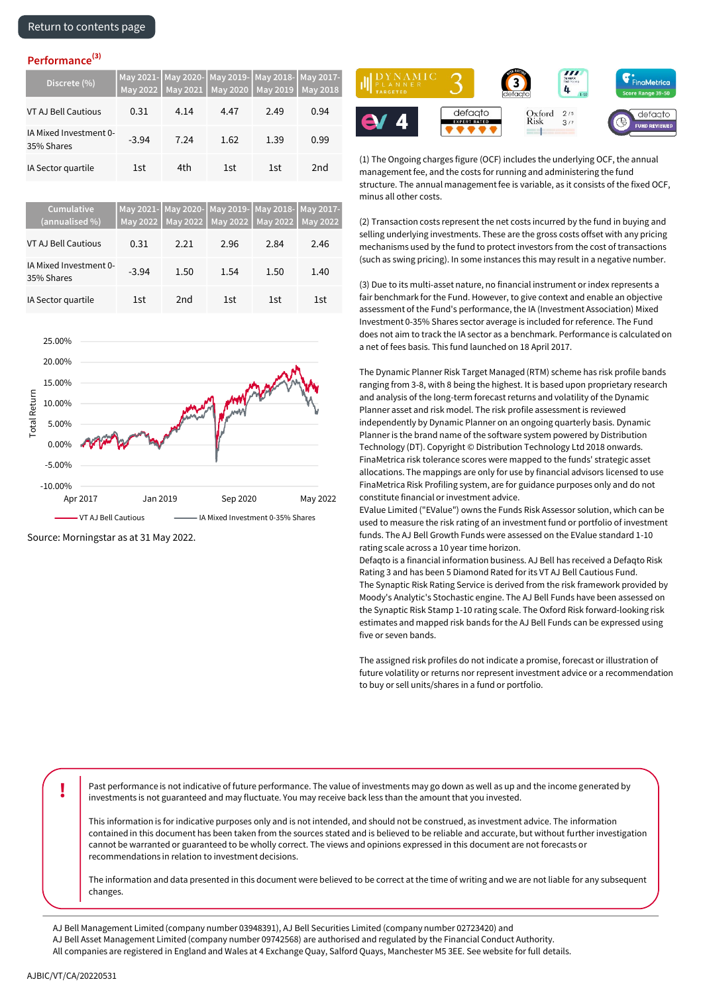| Discrete (%)                         |         |      |      | May 2021- May 2020- May 2019- May 2018- May 2017-<br>May 2022   May 2021   May 2020   May 2019   May 2018 |                 |
|--------------------------------------|---------|------|------|-----------------------------------------------------------------------------------------------------------|-----------------|
| <b>VT AJ Bell Cautious</b>           | 0.31    | 4.14 | 4.47 | 2.49                                                                                                      | 0.94            |
| IA Mixed Investment 0-<br>35% Shares | $-3.94$ | 7.24 | 1.62 | 1.39                                                                                                      | 0.99            |
| IA Sector quartile                   | 1st     | 4th  | 1st  | 1st                                                                                                       | 2 <sub>nd</sub> |

| Cumulative<br>(annualised %)         | May 2022 | <b>May 2022</b> |      | May 2021- May 2020- May 2019- May 2018- May 2017-<br>May 2022 May 2022 May 2022 |      |
|--------------------------------------|----------|-----------------|------|---------------------------------------------------------------------------------|------|
| VT AJ Bell Cautious                  | 0.31     | 2.21            | 2.96 | 2.84                                                                            | 2.46 |
| IA Mixed Investment 0-<br>35% Shares | $-3.94$  | 1.50            | 1.54 | 1.50                                                                            | 1.40 |
| IA Sector quartile                   | 1st      | 2nd             | 1st  | 1st                                                                             | 1st  |



Source: Morningstar as at 31 May 2022.



(1) The Ongoing charges figure (OCF) includes the underlying OCF, the annual management fee, and the costs for running and administering the fund structure. The annual management fee is variable, as it consists of the fixed OCF, minus all other costs.

(2) Transaction costs represent the net costs incurred by the fund in buying and selling underlying investments. These are the gross costs offset with any pricing mechanisms used by the fund to protect investors from the cost of transactions (such as swing pricing). In some instances this may result in a negative number.

(3) Due to its multi-asset nature, no financial instrument or index represents a fair benchmark for the Fund. However, to give context and enable an objective assessment of the Fund's performance, the IA (Investment Association) Mixed Investment 0-35% Shares sector average is included for reference. The Fund does not aim to track the IA sector as a benchmark. Performance is calculated on a net of fees basis. This fund launched on 18 April 2017.

The Dynamic Planner Risk Target Managed (RTM) scheme has risk profile bands ranging from 3-8, with 8 being the highest. It is based upon proprietary research and analysis of the long-term forecast returns and volatility of the Dynamic Planner asset and risk model. The risk profile assessment is reviewed independently by Dynamic Planner on an ongoing quarterly basis. Dynamic Planner is the brand name of the software system powered by Distribution Technology (DT). Copyright © Distribution Technology Ltd 2018 onwards. FinaMetrica risk tolerance scores were mapped to the funds' strategic asset allocations. The mappings are only for use by financial advisors licensed to use FinaMetrica Risk Profiling system, are for guidance purposes only and do not constitute financial or investment advice.

EValue Limited ("EValue") owns the Funds Risk Assessor solution, which can be used to measure the risk rating of an investment fund or portfolio of investment funds. The AJ Bell Growth Funds were assessed on the EValue standard 1-10 rating scale across a 10 year time horizon.

Defaqto is a financial information business. AJ Bell has received a Defaqto Risk Rating 3 and has been 5 Diamond Rated for its VT AJ Bell Cautious Fund. The Synaptic Risk Rating Service is derived from the risk framework provided by Moody's Analytic's Stochastic engine. The AJ Bell Funds have been assessed on the Synaptic Risk Stamp 1-10 rating scale. The Oxford Risk forward-looking risk estimates and mapped risk bands for the AJ Bell Funds can be expressed using five or seven bands.

The assigned risk profiles do not indicate a promise, forecast or illustration of future volatility or returns nor represent investment advice or a recommendation to buy or sell units/shares in a fund or portfolio.

**!** Past performance is not indicative of future performance. The value of investments may go down as well as up and the income generated by investments is not guaranteed and may fluctuate. You may receive back less than the amount that you invested.

This information is for indicative purposes only and is not intended, and should not be construed, as investment advice. The information contained in this document has been taken from the sources stated and is believed to be reliable and accurate, but without further investigation cannot be warranted or guaranteed to be wholly correct. The views and opinions expressed in this document are not forecasts or recommendations in relation to investment decisions.

The information and data presented in this document were believed to be correct at the time of writing and we are not liable for any subsequent changes.

AJ Bell Management Limited (company number 03948391), AJ Bell Securities Limited (company number 02723420) and

AJ Bell Asset Management Limited (company number 09742568) are authorised and regulated by the Financial Conduct Authority.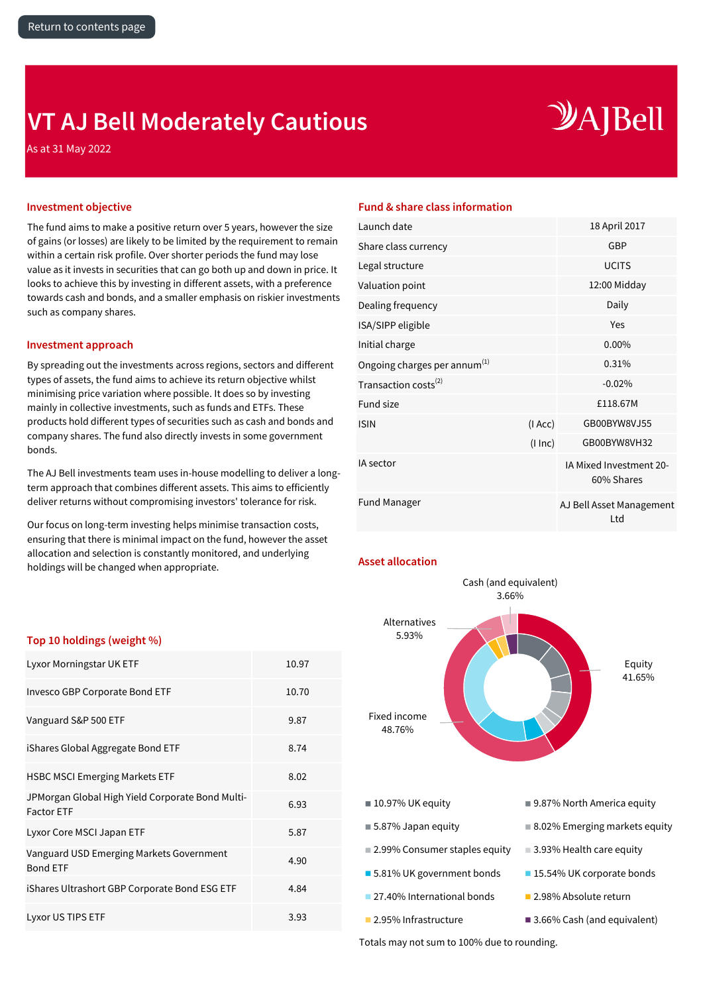## <span id="page-3-0"></span>**VT AJ Bell Moderately Cautious**

# $\mathcal{Y}$ A]Bell

As at 31 May 2022

The fund aims to make a positive return over 5 years, however the size of gains (or losses) are likely to be limited by the requirement to remain within a certain risk profile. Over shorter periods the fund may lose value as it invests in securities that can go both up and down in price. It looks to achieve this by investing in different assets, with a preference towards cash and bonds, and a smaller emphasis on riskier investments such as company shares.

### **Investment approach**

By spreading out the investments across regions, sectors and different types of assets, the fund aims to achieve its return objective whilst minimising price variation where possible. It does so by investing mainly in collective investments, such as funds and ETFs. These products hold different types of securities such as cash and bonds and company shares. The fund also directly invests in some government bonds.

The AJ Bell investments team uses in-house modelling to deliver a longterm approach that combines different assets. This aims to efficiently deliver returns without compromising investors' tolerance for risk.

Our focus on long-term investing helps minimise transaction costs, ensuring that there is minimal impact on the fund, however the asset allocation and selection is constantly monitored, and underlying holdings will be changed when appropriate.

### **Investment objective Fund & share class information**

| Launch date                              |          | 18 April 2017                         |
|------------------------------------------|----------|---------------------------------------|
| Share class currency                     |          | GBP                                   |
| Legal structure                          |          | <b>UCITS</b>                          |
| Valuation point                          |          | 12:00 Midday                          |
| Dealing frequency                        |          | Daily                                 |
| ISA/SIPP eligible                        |          | Yes                                   |
| Initial charge                           |          | 0.00%                                 |
| Ongoing charges per annum <sup>(1)</sup> |          | 0.31%                                 |
| Transaction costs <sup>(2)</sup>         |          | $-0.02%$                              |
| Fund size                                |          | £118.67M                              |
| <b>ISIN</b>                              | (IACC)   | GB00BYW8VJ55                          |
|                                          | (1 ln c) | GB00BYW8VH32                          |
| <b>IA</b> sector                         |          | IA Mixed Investment 20-<br>60% Shares |
| <b>Fund Manager</b>                      |          | AJ Bell Asset Management<br>Ltd       |

### **Asset allocation**



### **Top 10 holdings (weight %)**

| Lyxor Morningstar UK ETF                                              | 10.97 |
|-----------------------------------------------------------------------|-------|
| Invesco GBP Corporate Bond ETF                                        | 10.70 |
| Vanguard S&P 500 ETF                                                  | 9.87  |
| iShares Global Aggregate Bond ETF                                     | 8.74  |
| <b>HSBC MSCI Emerging Markets ETF</b>                                 | 8.02  |
| JPMorgan Global High Yield Corporate Bond Multi-<br><b>Factor ETF</b> | 6.93  |
| Lyxor Core MSCI Japan ETF                                             | 5.87  |
| Vanguard USD Emerging Markets Government<br><b>Bond ETF</b>           | 4.90  |
| iShares Ultrashort GBP Corporate Bond ESG ETF                         | 4.84  |
| Lyxor US TIPS ETF                                                     | 3.93  |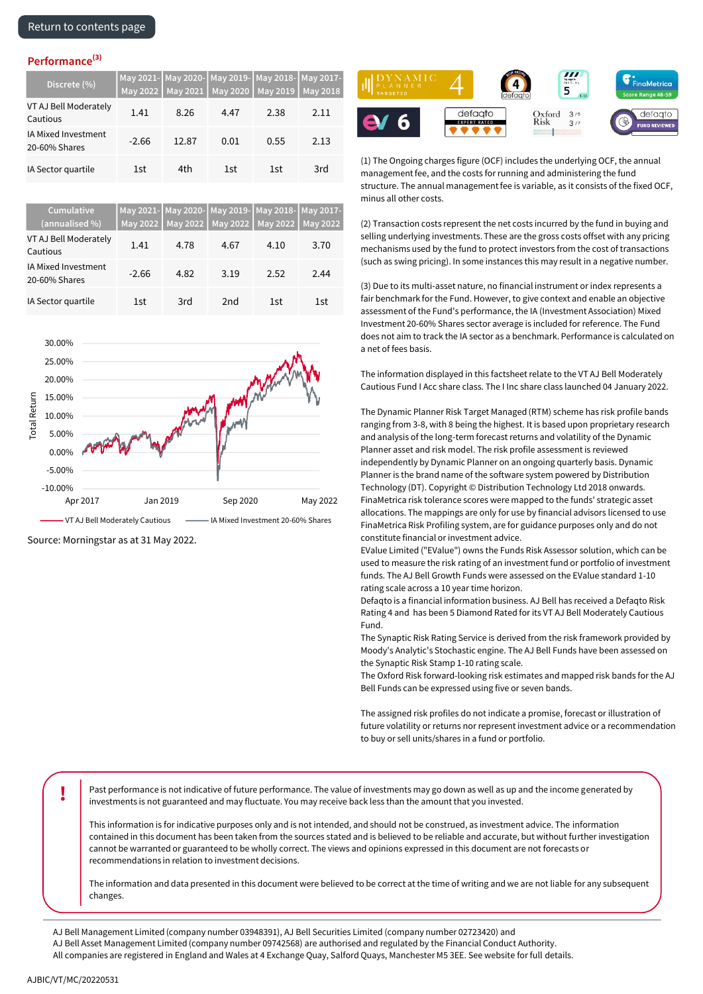| Discrete (%)                         | <b>May 2022</b> |       | May 2021   May 2020 | May 2021- May 2020- May 2019- May 2018- May 2017-<br>May 2019 | <b>May 2018</b> |
|--------------------------------------|-----------------|-------|---------------------|---------------------------------------------------------------|-----------------|
| VT AJ Bell Moderately<br>Cautious    | 1.41            | 8.26  | 4.47                | 2.38                                                          | 2.11            |
| IA Mixed Investment<br>20-60% Shares | $-2.66$         | 12.87 | 0.01                | 0.55                                                          | 2.13            |
| IA Sector quartile                   | 1st             | 4th   | 1st                 | 1st                                                           | 3rd             |

| Cumulative<br>(annualised %)         |         | May 2022   May 2022 | May 2021- May 2020- May 2019- May 2018- May 2017-<br>May 2022 May 2022 May 2022 |      |      |
|--------------------------------------|---------|---------------------|---------------------------------------------------------------------------------|------|------|
| VT AJ Bell Moderately<br>Cautious    | 1.41    | 4.78                | 4.67                                                                            | 4.10 | 3.70 |
| IA Mixed Investment<br>20-60% Shares | $-2.66$ | 4.82                | 3.19                                                                            | 2.52 | 2.44 |
| IA Sector quartile                   | 1st     | 3rd                 | 2 <sub>nd</sub>                                                                 | 1st  | 1st  |



Source: Morningstar as at 31 May 2022.



(1) The Ongoing charges figure (OCF) includes the underlying OCF, the annual management fee, and the costs for running and administering the fund structure. The annual management fee is variable, as it consists of the fixed OCF, minus all other costs.

(2) Transaction costs represent the net costs incurred by the fund in buying and selling underlying investments. These are the gross costs offset with any pricing mechanisms used by the fund to protect investors from the cost of transactions (such as swing pricing). In some instances this may result in a negative number.

(3) Due to its multi-asset nature, no financial instrument or index represents a fair benchmark for the Fund. However, to give context and enable an objective assessment of the Fund's performance, the IA (Investment Association) Mixed Investment 20-60% Shares sector average is included for reference. The Fund does not aim to track the IA sector as a benchmark. Performance is calculated on a net of fees basis.

The information displayed in this factsheet relate to the VT AJ Bell Moderately Cautious Fund I Acc share class. The I Inc share class launched 04 January 2022.

The Dynamic Planner Risk Target Managed (RTM) scheme has risk profile bands ranging from 3-8, with 8 being the highest. It is based upon proprietary research and analysis of the long-term forecast returns and volatility of the Dynamic Planner asset and risk model. The risk profile assessment is reviewed independently by Dynamic Planner on an ongoing quarterly basis. Dynamic Planner is the brand name of the software system powered by Distribution Technology (DT). Copyright © Distribution Technology Ltd 2018 onwards. FinaMetrica risk tolerance scores were mapped to the funds' strategic asset allocations. The mappings are only for use by financial advisors licensed to use FinaMetrica Risk Profiling system, are for guidance purposes only and do not constitute financial or investment advice.

EValue Limited ("EValue") owns the Funds Risk Assessor solution, which can be used to measure the risk rating of an investment fund or portfolio of investment funds. The AJ Bell Growth Funds were assessed on the EValue standard 1-10 rating scale across a 10 year time horizon.

Defaqto is a financial information business. AJ Bell has received a Defaqto Risk Rating 4 and has been 5 Diamond Rated for its VT AJ Bell Moderately Cautious Fund.

The Synaptic Risk Rating Service is derived from the risk framework provided by Moody's Analytic's Stochastic engine. The AJ Bell Funds have been assessed on the Synaptic Risk Stamp 1-10 rating scale.

The Oxford Risk forward-looking risk estimates and mapped risk bands for the AJ Bell Funds can be expressed using five or seven bands.

The assigned risk profiles do not indicate a promise, forecast or illustration of future volatility or returns nor represent investment advice or a recommendation to buy or sell units/shares in a fund or portfolio.

**Past performance is not indicative of future performance. The value of investments may go down as well as up and the income generated by** investments is not guaranteed and may fluctuate. You may receive back less than the amount that you invested.

This information is for indicative purposes only and is not intended, and should not be construed, as investment advice. The information contained in this document has been taken from the sources stated and is believed to be reliable and accurate, but without further investigation cannot be warranted or guaranteed to be wholly correct. The views and opinions expressed in this document are not forecasts or recommendations in relation to investment decisions.

The information and data presented in this document were believed to be correct at the time of writing and we are not liable for any subsequent changes.

AJ Bell Management Limited (company number 03948391), AJ Bell Securities Limited (company number 02723420) and

AJ Bell Asset Management Limited (company number 09742568) are authorised and regulated by the Financial Conduct Authority.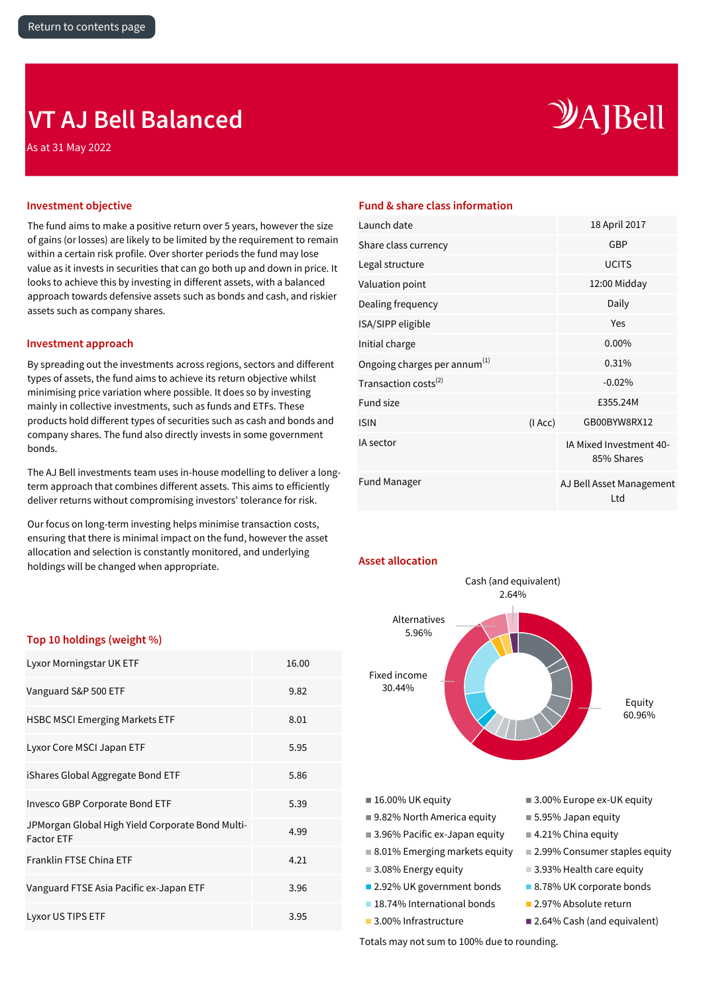## <span id="page-5-0"></span>**VT AJ Bell Balanced**

As at 31 May 2022

# $\mathcal{Y}$ A]Bell

The fund aims to make a positive return over 5 years, however the size of gains (or losses) are likely to be limited by the requirement to remain within a certain risk profile. Over shorter periods the fund may lose value as it invests in securities that can go both up and down in price. It looks to achieve this by investing in different assets, with a balanced approach towards defensive assets such as bonds and cash, and riskier assets such as company shares.

### **Investment approach**

By spreading out the investments across regions, sectors and different types of assets, the fund aims to achieve its return objective whilst minimising price variation where possible. It does so by investing mainly in collective investments, such as funds and ETFs. These products hold different types of securities such as cash and bonds and company shares. The fund also directly invests in some government bonds.

The AJ Bell investments team uses in-house modelling to deliver a longterm approach that combines different assets. This aims to efficiently deliver returns without compromising investors' tolerance for risk.

Our focus on long-term investing helps minimise transaction costs, ensuring that there is minimal impact on the fund, however the asset allocation and selection is constantly monitored, and underlying holdings will be changed when appropriate.

### **Investment objective Fund & share class information**

| Launch date                              |        | 18 April 2017                         |
|------------------------------------------|--------|---------------------------------------|
| Share class currency                     |        | GBP                                   |
| Legal structure                          |        | <b>UCITS</b>                          |
| Valuation point                          |        | 12:00 Midday                          |
| Dealing frequency                        |        | Daily                                 |
| ISA/SIPP eligible                        |        | Yes                                   |
| Initial charge                           |        | $0.00\%$                              |
| Ongoing charges per annum <sup>(1)</sup> |        | 0.31%                                 |
| Transaction costs <sup>(2)</sup>         |        | $-0.02%$                              |
| <b>Fund size</b>                         |        | £355.24M                              |
| <b>ISIN</b>                              | (IAcc) | GB00BYW8RX12                          |
| IA sector                                |        | IA Mixed Investment 40-<br>85% Shares |
| <b>Fund Manager</b>                      |        | AJ Bell Asset Management<br>Ltd       |
|                                          |        |                                       |



### **Top 10 holdings (weight %)**

| Lyxor Morningstar UK ETF                                              | 16.00 |
|-----------------------------------------------------------------------|-------|
| Vanguard S&P 500 ETF                                                  | 9.82  |
| <b>HSBC MSCI Emerging Markets ETF</b>                                 | 8.01  |
| Lyxor Core MSCI Japan ETF                                             | 5.95  |
| iShares Global Aggregate Bond ETF                                     | 5.86  |
| Invesco GBP Corporate Bond ETF                                        | 5.39  |
| JPMorgan Global High Yield Corporate Bond Multi-<br><b>Factor ETF</b> | 4.99  |
| <b>Franklin FTSE China ETF</b>                                        | 4.21  |
| Vanguard FTSE Asia Pacific ex-Japan ETF                               | 3.96  |
| Lyxor US TIPS ETF                                                     | 3.95  |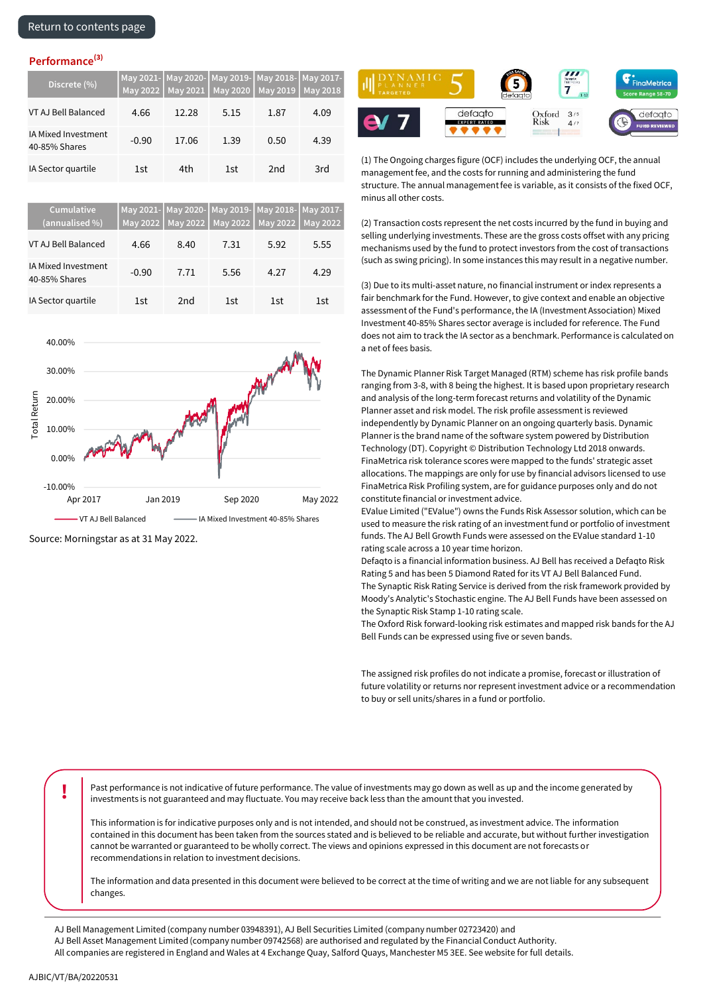| Discrete (%)                         |         |       | May 2021- May 2020- May 2019- May 2018- May 2017-<br>May 2022   May 2021   May 2020   May 2019   May 2018 |      |      |
|--------------------------------------|---------|-------|-----------------------------------------------------------------------------------------------------------|------|------|
| VT AJ Bell Balanced                  | 4.66    | 12.28 | 5.15                                                                                                      | 1.87 | 4.09 |
| IA Mixed Investment<br>40-85% Shares | $-0.90$ | 17.06 | 1.39                                                                                                      | 0.50 | 4.39 |
| IA Sector quartile                   | 1st     | 4th   | 1st                                                                                                       | 2nd  | 3rd  |

| Cumulative<br>(annualised %)         |         |      |      | May 2021- May 2020- May 2019- May 2018- May 2017-<br>May 2022   May 2022   May 2022   May 2022   May 2022 |      |
|--------------------------------------|---------|------|------|-----------------------------------------------------------------------------------------------------------|------|
| VT AJ Bell Balanced                  | 4.66    | 8.40 | 7.31 | 5.92                                                                                                      | 5.55 |
| IA Mixed Investment<br>40-85% Shares | $-0.90$ | 7.71 | 5.56 | 4.27                                                                                                      | 4.29 |
| IA Sector quartile                   | 1st     | 2nd  | 1st  | 1st                                                                                                       | 1st  |



Source: Morningstar as at 31 May 2022.



(1) The Ongoing charges figure (OCF) includes the underlying OCF, the annual management fee, and the costs for running and administering the fund structure. The annual management fee is variable, as it consists of the fixed OCF, minus all other costs.

(2) Transaction costs represent the net costs incurred by the fund in buying and selling underlying investments. These are the gross costs offset with any pricing mechanisms used by the fund to protect investors from the cost of transactions (such as swing pricing). In some instances this may result in a negative number.

(3) Due to its multi-asset nature, no financial instrument or index represents a fair benchmark for the Fund. However, to give context and enable an objective assessment of the Fund's performance, the IA (Investment Association) Mixed Investment 40-85% Shares sector average is included for reference. The Fund does not aim to track the IA sector as a benchmark. Performance is calculated on a net of fees basis.

The Dynamic Planner Risk Target Managed (RTM) scheme has risk profile bands ranging from 3-8, with 8 being the highest. It is based upon proprietary research and analysis of the long-term forecast returns and volatility of the Dynamic Planner asset and risk model. The risk profile assessment is reviewed independently by Dynamic Planner on an ongoing quarterly basis. Dynamic Planner is the brand name of the software system powered by Distribution Technology (DT). Copyright © Distribution Technology Ltd 2018 onwards. FinaMetrica risk tolerance scores were mapped to the funds' strategic asset allocations. The mappings are only for use by financial advisors licensed to use FinaMetrica Risk Profiling system, are for guidance purposes only and do not constitute financial or investment advice.

EValue Limited ("EValue") owns the Funds Risk Assessor solution, which can be used to measure the risk rating of an investment fund or portfolio of investment funds. The AJ Bell Growth Funds were assessed on the EValue standard 1-10 rating scale across a 10 year time horizon.

Defaqto is a financial information business. AJ Bell has received a Defaqto Risk Rating 5 and has been 5 Diamond Rated for its VT AJ Bell Balanced Fund. The Synaptic Risk Rating Service is derived from the risk framework provided by Moody's Analytic's Stochastic engine. The AJ Bell Funds have been assessed on the Synaptic Risk Stamp 1-10 rating scale.

The Oxford Risk forward-looking risk estimates and mapped risk bands for the AJ Bell Funds can be expressed using five or seven bands.

The assigned risk profiles do not indicate a promise, forecast or illustration of future volatility or returns nor represent investment advice or a recommendation to buy or sell units/shares in a fund or portfolio.

**!** Past performance is not indicative of future performance. The value of investments may go down as well as up and the income generated by investments is not guaranteed and may fluctuate. You may receive back less than the amount that you invested.

This information is for indicative purposes only and is not intended, and should not be construed, as investment advice. The information contained in this document has been taken from the sources stated and is believed to be reliable and accurate, but without further investigation cannot be warranted or guaranteed to be wholly correct. The views and opinions expressed in this document are not forecasts or recommendations in relation to investment decisions.

The information and data presented in this document were believed to be correct at the time of writing and we are not liable for any subsequent changes.

- AJ Bell Management Limited (company number 03948391), AJ Bell Securities Limited (company number 02723420) and
- AJ Bell Asset Management Limited (company number 09742568) are authorised and regulated by the Financial Conduct Authority.
- All companies are registered in England and Wales at 4 Exchange Quay, Salford Quays, Manchester M5 3EE. See website for full details.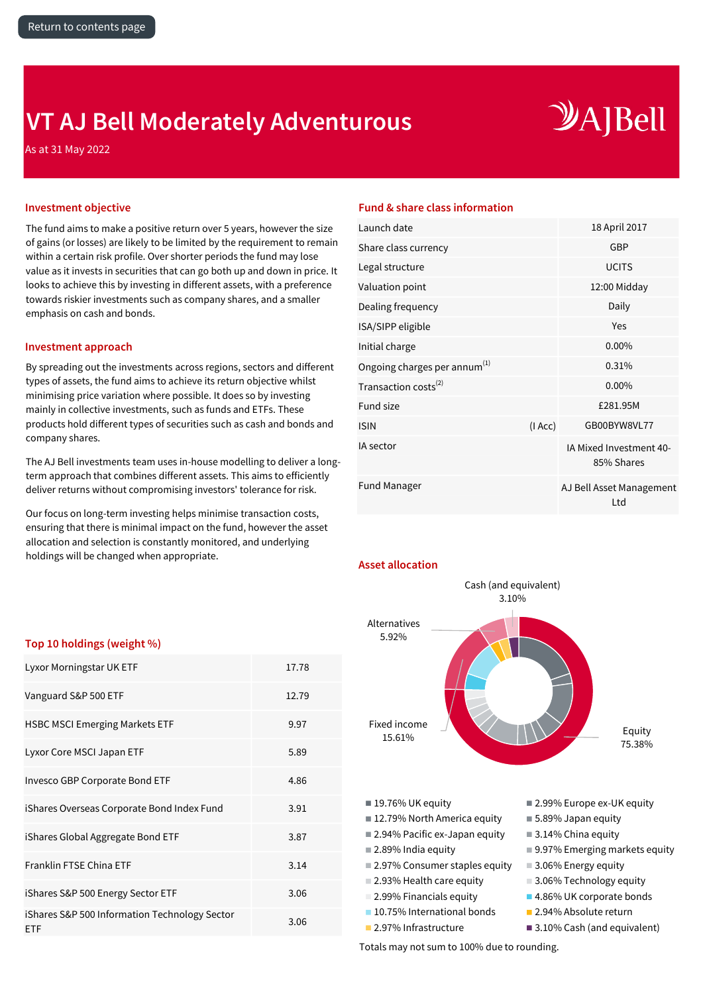## <span id="page-7-0"></span>**VT AJ Bell Moderately Adventurous**

# $\mathcal{Y}$ A]Bell

As at 31 May 2022

The fund aims to make a positive return over 5 years, however the size of gains (or losses) are likely to be limited by the requirement to remain within a certain risk profile. Over shorter periods the fund may lose value as it invests in securities that can go both up and down in price. It looks to achieve this by investing in different assets, with a preference towards riskier investments such as company shares, and a smaller emphasis on cash and bonds.

### **Investment approach**

By spreading out the investments across regions, sectors and different types of assets, the fund aims to achieve its return objective whilst minimising price variation where possible. It does so by investing mainly in collective investments, such as funds and ETFs. These products hold different types of securities such as cash and bonds and company shares.

The AJ Bell investments team uses in-house modelling to deliver a longterm approach that combines different assets. This aims to efficiently deliver returns without compromising investors' tolerance for risk.

Our focus on long-term investing helps minimise transaction costs, ensuring that there is minimal impact on the fund, however the asset allocation and selection is constantly monitored, and underlying holdings will be changed when appropriate.

### **Investment objective Fund & share class information**

| Launch date                              |        | 18 April 2017                         |
|------------------------------------------|--------|---------------------------------------|
| Share class currency                     |        | <b>GBP</b>                            |
| Legal structure                          |        | <b>UCITS</b>                          |
| Valuation point                          |        | 12:00 Midday                          |
| Dealing frequency                        |        | Daily                                 |
| ISA/SIPP eligible                        |        | Yes                                   |
| Initial charge                           |        | $0.00\%$                              |
| Ongoing charges per annum <sup>(1)</sup> |        | 0.31%                                 |
| Transaction costs <sup>(2)</sup>         |        | $0.00\%$                              |
| <b>Fund size</b>                         |        | £281.95M                              |
| <b>ISIN</b>                              | (IAcc) | GB00BYW8VL77                          |
| IA sector                                |        | IA Mixed Investment 40-<br>85% Shares |
| <b>Fund Manager</b>                      |        | AJ Bell Asset Management<br>Ltd       |
|                                          |        |                                       |

### **Asset allocation**



### **Top 10 holdings (weight %)**

| Lyxor Morningstar UK ETF                             | 17.78 |
|------------------------------------------------------|-------|
| Vanguard S&P 500 ETF                                 | 12.79 |
| <b>HSBC MSCI Emerging Markets ETF</b>                | 9.97  |
| Lyxor Core MSCI Japan ETF                            | 5.89  |
| Invesco GBP Corporate Bond ETF                       | 4.86  |
| iShares Overseas Corporate Bond Index Fund           | 3.91  |
| iShares Global Aggregate Bond ETF                    | 3.87  |
| Franklin FTSE China ETF                              | 3.14  |
| iShares S&P 500 Energy Sector ETF                    | 3.06  |
| iShares S&P 500 Information Technology Sector<br>ETF | 3.06  |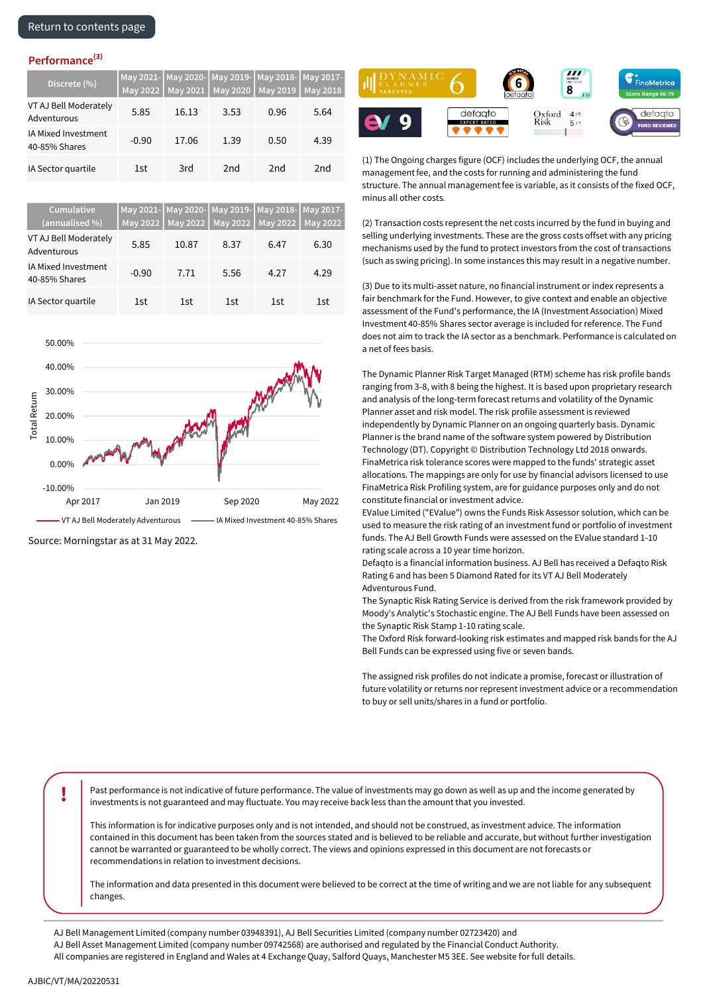| Discrete (%)                         |         |       | May 2021- May 2020- May 2019- May 2018- May 2017-<br>May 2022   May 2021   May 2020   May 2019   May 2018 |      |      |
|--------------------------------------|---------|-------|-----------------------------------------------------------------------------------------------------------|------|------|
| VT AJ Bell Moderately<br>Adventurous | 5.85    | 16.13 | 3.53                                                                                                      | 0.96 | 5.64 |
| IA Mixed Investment<br>40-85% Shares | $-0.90$ | 17.06 | 1.39                                                                                                      | 0.50 | 4.39 |
| IA Sector quartile                   | 1st     | 3rd   | 2nd                                                                                                       | 2nd  | 2nd  |

| Cumulative<br>(annualised %)         |         | May 2022   May 2022 | May 2021- May 2020- May 2019- May 2018- May 2017-<br>May 2022 May 2022 May 2022 |      |      |
|--------------------------------------|---------|---------------------|---------------------------------------------------------------------------------|------|------|
| VT AJ Bell Moderately<br>Adventurous | 5.85    | 10.87               | 8.37                                                                            | 6.47 | 6.30 |
| IA Mixed Investment<br>40-85% Shares | $-0.90$ | 7.71                | 5.56                                                                            | 4.27 | 4.29 |
| IA Sector quartile                   | 1st     | 1st                 | 1st                                                                             | 1st  | 1st  |



Source: Morningstar as at 31 May 2022.



(1) The Ongoing charges figure (OCF) includes the underlying OCF, the annual management fee, and the costs for running and administering the fund structure. The annual management fee is variable, as it consists of the fixed OCF, minus all other costs.

(2) Transaction costs represent the net costs incurred by the fund in buying and selling underlying investments. These are the gross costs offset with any pricing mechanisms used by the fund to protect investors from the cost of transactions (such as swing pricing). In some instances this may result in a negative number.

(3) Due to its multi-asset nature, no financial instrument or index represents a fair benchmark for the Fund. However, to give context and enable an objective assessment of the Fund's performance, the IA (Investment Association) Mixed Investment 40-85% Shares sector average is included for reference. The Fund does not aim to track the IA sector as a benchmark. Performance is calculated on a net of fees basis.

The Dynamic Planner Risk Target Managed (RTM) scheme has risk profile bands ranging from 3-8, with 8 being the highest. It is based upon proprietary research and analysis of the long-term forecast returns and volatility of the Dynamic Planner asset and risk model. The risk profile assessment is reviewed independently by Dynamic Planner on an ongoing quarterly basis. Dynamic Planner is the brand name of the software system powered by Distribution Technology (DT). Copyright © Distribution Technology Ltd 2018 onwards. FinaMetrica risk tolerance scores were mapped to the funds' strategic asset allocations. The mappings are only for use by financial advisors licensed to use FinaMetrica Risk Profiling system, are for guidance purposes only and do not constitute financial or investment advice.

EValue Limited ("EValue") owns the Funds Risk Assessor solution, which can be used to measure the risk rating of an investment fund or portfolio of investment funds. The AJ Bell Growth Funds were assessed on the EValue standard 1-10 rating scale across a 10 year time horizon.

Defaqto is a financial information business. AJ Bell has received a Defaqto Risk Rating 6 and has been 5 Diamond Rated for its VT AJ Bell Moderately Adventurous Fund.

The Synaptic Risk Rating Service is derived from the risk framework provided by Moody's Analytic's Stochastic engine. The AJ Bell Funds have been assessed on the Synaptic Risk Stamp 1-10 rating scale.

The Oxford Risk forward-looking risk estimates and mapped risk bands for the AJ Bell Funds can be expressed using five or seven bands.

The assigned risk profiles do not indicate a promise, forecast or illustration of future volatility or returns nor represent investment advice or a recommendation to buy or sell units/shares in a fund or portfolio.

**Past performance is not indicative of future performance. The value of investments may go down as well as up and the income generated by** investments is not guaranteed and may fluctuate. You may receive back less than the amount that you invested.

This information is for indicative purposes only and is not intended, and should not be construed, as investment advice. The information contained in this document has been taken from the sources stated and is believed to be reliable and accurate, but without further investigation cannot be warranted or guaranteed to be wholly correct. The views and opinions expressed in this document are not forecasts or recommendations in relation to investment decisions.

The information and data presented in this document were believed to be correct at the time of writing and we are not liable for any subsequent changes.

AJ Bell Management Limited (company number 03948391), AJ Bell Securities Limited (company number 02723420) and

AJ Bell Asset Management Limited (company number 09742568) are authorised and regulated by the Financial Conduct Authority.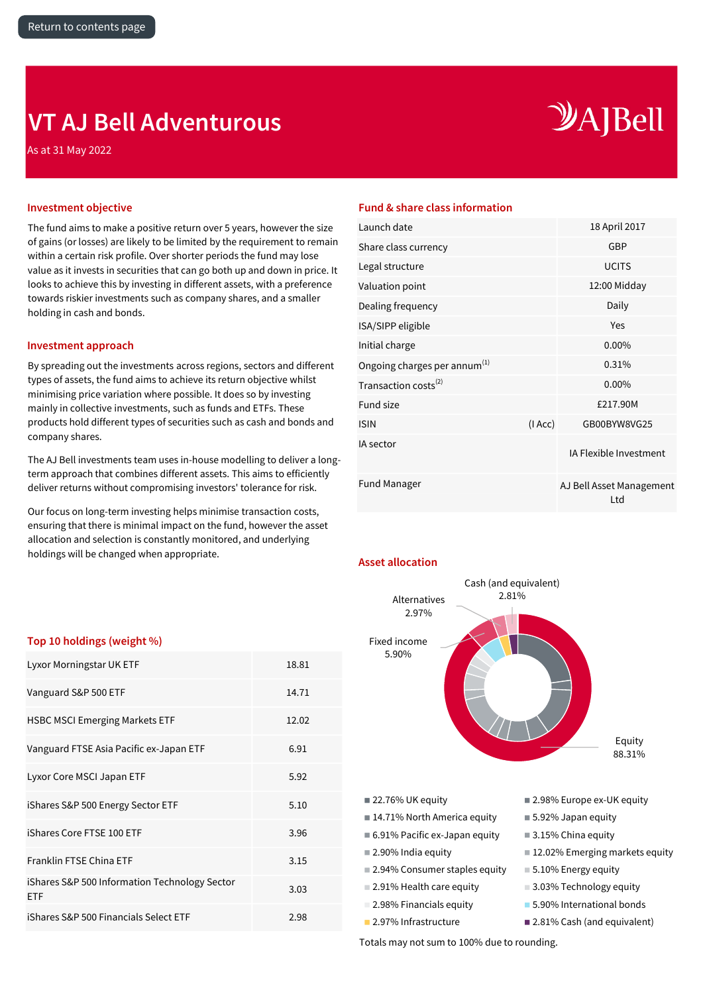## <span id="page-9-0"></span>**VT AJ Bell Adventurous**

As at 31 May 2022

# $\mathcal{Y}$ A]Bell

The fund aims to make a positive return over 5 years, however the size of gains (or losses) are likely to be limited by the requirement to remain within a certain risk profile. Over shorter periods the fund may lose value as it invests in securities that can go both up and down in price. It looks to achieve this by investing in different assets, with a preference towards riskier investments such as company shares, and a smaller holding in cash and bonds.

### **Investment approach**

By spreading out the investments across regions, sectors and different types of assets, the fund aims to achieve its return objective whilst minimising price variation where possible. It does so by investing mainly in collective investments, such as funds and ETFs. These products hold different types of securities such as cash and bonds and company shares.

The AJ Bell investments team uses in-house modelling to deliver a longterm approach that combines different assets. This aims to efficiently deliver returns without compromising investors' tolerance for risk.

Our focus on long-term investing helps minimise transaction costs, ensuring that there is minimal impact on the fund, however the asset allocation and selection is constantly monitored, and underlying holdings will be changed when appropriate.

### **Investment objective Fund & share class information**

| Launch date                              | 18 April 2017                   |
|------------------------------------------|---------------------------------|
| Share class currency                     | GBP                             |
| Legal structure                          | <b>UCITS</b>                    |
| Valuation point                          | 12:00 Midday                    |
| Dealing frequency                        | Daily                           |
| ISA/SIPP eligible                        | Yes                             |
| Initial charge                           | $0.00\%$                        |
| Ongoing charges per annum <sup>(1)</sup> | 0.31%                           |
| Transaction costs <sup>(2)</sup>         | $0.00\%$                        |
| <b>Fund size</b>                         | £217.90M                        |
| (IACC)<br><b>ISIN</b>                    | GB00BYW8VG25                    |
| IA sector                                | IA Flexible Investment          |
| <b>Fund Manager</b>                      | AJ Bell Asset Management<br>Ltd |

### **Asset allocation**



### **Top 10 holdings (weight %)**

| Lyxor Morningstar UK ETF                             | 18.81 |
|------------------------------------------------------|-------|
| Vanguard S&P 500 ETF                                 | 14.71 |
| <b>HSBC MSCI Emerging Markets ETF</b>                | 12.02 |
| Vanguard FTSE Asia Pacific ex-Japan ETF              | 6.91  |
| Lyxor Core MSCI Japan ETF                            | 5.92  |
| iShares S&P 500 Energy Sector ETF                    | 5.10  |
| iShares Core FTSE 100 ETF                            | 3.96  |
| Franklin FTSE China ETF                              | 3.15  |
| iShares S&P 500 Information Technology Sector<br>ETF | 3.03  |
| iShares S&P 500 Financials Select ETF                | 2.98  |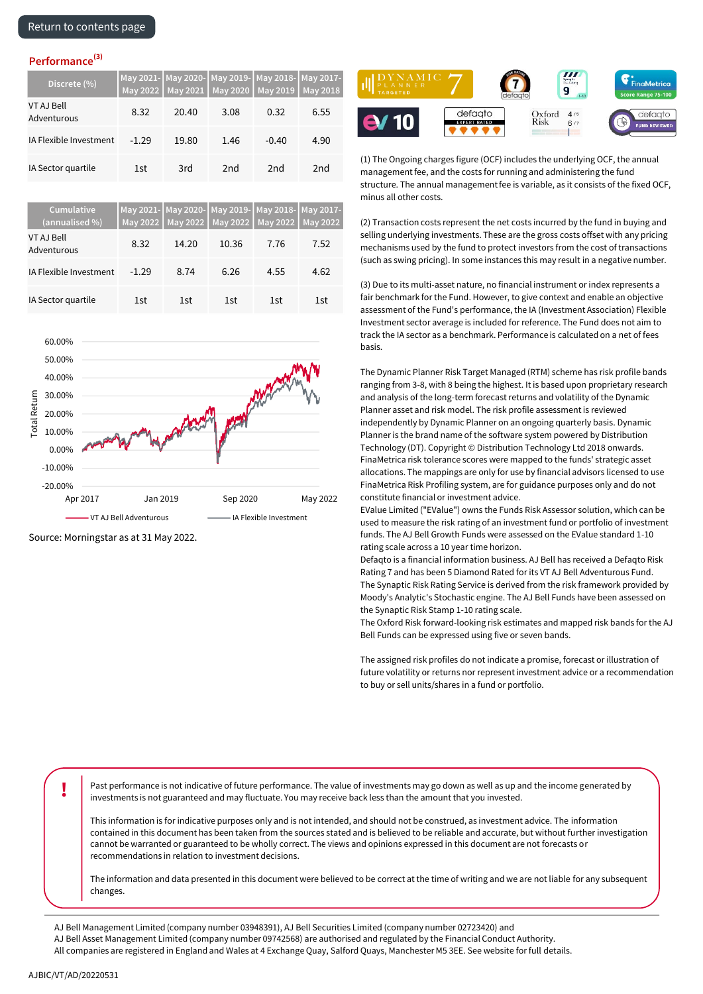| Discrete (%)              |         |       |                 | May 2021- May 2020- May 2019- May 2018- May 2017-<br>May 2022   May 2021   May 2020   May 2019   May 2018 |      |
|---------------------------|---------|-------|-----------------|-----------------------------------------------------------------------------------------------------------|------|
| VT AJ Bell<br>Adventurous | 8.32    | 20.40 | 3.08            | 0.32                                                                                                      | 6.55 |
| IA Flexible Investment    | $-1.29$ | 19.80 | 1.46            | $-0.40$                                                                                                   | 4.90 |
| IA Sector quartile        | 1st     | 3rd   | 2 <sub>nd</sub> | 2 <sub>nd</sub>                                                                                           | 2nd  |

| <b>Cumulative</b><br>(annualised %) |         |       | May 2021- May 2020- May 2019- May 2018- May 2017-<br>May 2022   May 2022   May 2022   May 2022   May 2022 |      |      |
|-------------------------------------|---------|-------|-----------------------------------------------------------------------------------------------------------|------|------|
| <b>VT AJ Bell</b><br>Adventurous    | 8.32    | 14.20 | 10.36                                                                                                     | 7.76 | 7.52 |
| IA Flexible Investment              | $-1.29$ | 8.74  | 6.26                                                                                                      | 4.55 | 4.62 |
| IA Sector quartile                  | 1st     | 1st   | 1st                                                                                                       | 1st  | 1st  |



Source: Morningstar as at 31 May 2022.



(1) The Ongoing charges figure (OCF) includes the underlying OCF, the annual management fee, and the costs for running and administering the fund structure. The annual management fee is variable, as it consists of the fixed OCF, minus all other costs.

(2) Transaction costs represent the net costs incurred by the fund in buying and selling underlying investments. These are the gross costs offset with any pricing mechanisms used by the fund to protect investors from the cost of transactions (such as swing pricing). In some instances this may result in a negative number.

(3) Due to its multi-asset nature, no financial instrument or index represents a fair benchmark for the Fund. However, to give context and enable an objective assessment of the Fund's performance, the IA (Investment Association) Flexible Investment sector average is included for reference. The Fund does not aim to track the IA sector as a benchmark. Performance is calculated on a net of fees basis.

The Dynamic Planner Risk Target Managed (RTM) scheme has risk profile bands ranging from 3-8, with 8 being the highest. It is based upon proprietary research and analysis of the long-term forecast returns and volatility of the Dynamic Planner asset and risk model. The risk profile assessment is reviewed independently by Dynamic Planner on an ongoing quarterly basis. Dynamic Planner is the brand name of the software system powered by Distribution Technology (DT). Copyright © Distribution Technology Ltd 2018 onwards. FinaMetrica risk tolerance scores were mapped to the funds' strategic asset allocations. The mappings are only for use by financial advisors licensed to use FinaMetrica Risk Profiling system, are for guidance purposes only and do not constitute financial or investment advice.

EValue Limited ("EValue") owns the Funds Risk Assessor solution, which can be used to measure the risk rating of an investment fund or portfolio of investment funds. The AJ Bell Growth Funds were assessed on the EValue standard 1-10 rating scale across a 10 year time horizon.

Defaqto is a financial information business. AJ Bell has received a Defaqto Risk Rating 7 and has been 5 Diamond Rated for its VT AJ Bell Adventurous Fund. The Synaptic Risk Rating Service is derived from the risk framework provided by Moody's Analytic's Stochastic engine. The AJ Bell Funds have been assessed on the Synaptic Risk Stamp 1-10 rating scale.

The Oxford Risk forward-looking risk estimates and mapped risk bands for the AJ Bell Funds can be expressed using five or seven bands.

The assigned risk profiles do not indicate a promise, forecast or illustration of future volatility or returns nor represent investment advice or a recommendation to buy or sell units/shares in a fund or portfolio.

**!** Past performance is not indicative of future performance. The value of investments may go down as well as up and the income generated by investments is not guaranteed and may fluctuate. You may receive back less than the amount that you invested.

This information is for indicative purposes only and is not intended, and should not be construed, as investment advice. The information contained in this document has been taken from the sources stated and is believed to be reliable and accurate, but without further investigation cannot be warranted or guaranteed to be wholly correct. The views and opinions expressed in this document are not forecasts or recommendations in relation to investment decisions.

The information and data presented in this document were believed to be correct at the time of writing and we are not liable for any subsequent changes.

- AJ Bell Management Limited (company number 03948391), AJ Bell Securities Limited (company number 02723420) and
- AJ Bell Asset Management Limited (company number 09742568) are authorised and regulated by the Financial Conduct Authority.
- All companies are registered in England and Wales at 4 Exchange Quay, Salford Quays, Manchester M5 3EE. See website for full details.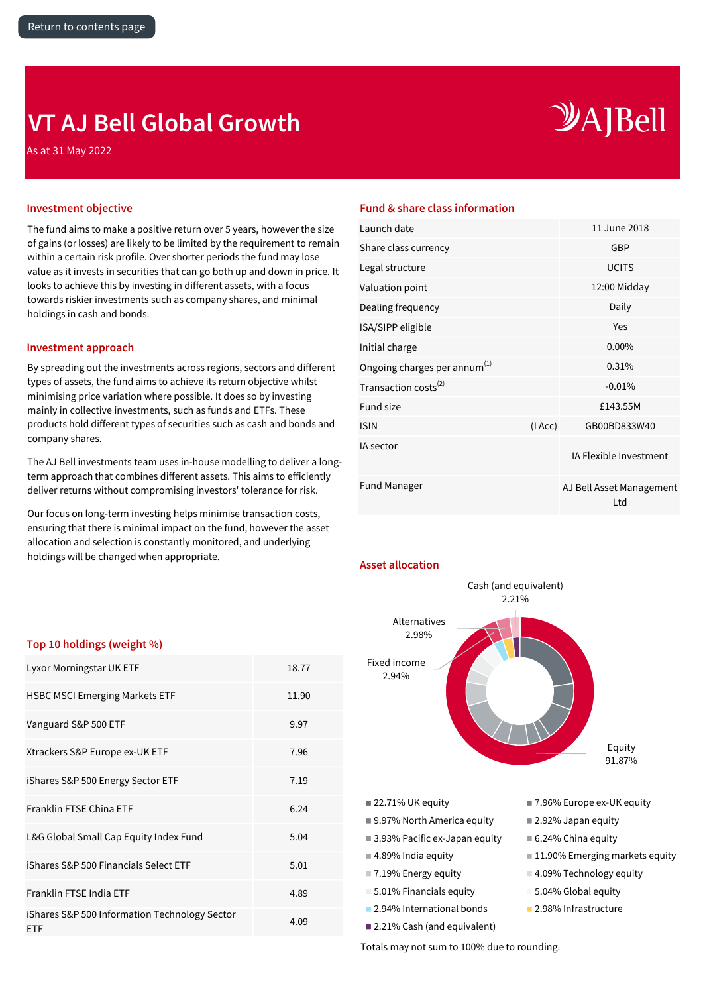## <span id="page-11-0"></span>**VT AJ Bell Global Growth**

As at 31 May 2022

# $\mathcal{Y}$ A]Bell

The fund aims to make a positive return over 5 years, however the size of gains (or losses) are likely to be limited by the requirement to remain within a certain risk profile. Over shorter periods the fund may lose value as it invests in securities that can go both up and down in price. It looks to achieve this by investing in different assets, with a focus towards riskier investments such as company shares, and minimal holdings in cash and bonds.

### **Investment approach**

By spreading out the investments across regions, sectors and different types of assets, the fund aims to achieve its return objective whilst minimising price variation where possible. It does so by investing mainly in collective investments, such as funds and ETFs. These products hold different types of securities such as cash and bonds and company shares.

The AJ Bell investments team uses in-house modelling to deliver a longterm approach that combines different assets. This aims to efficiently deliver returns without compromising investors' tolerance for risk.

Our focus on long-term investing helps minimise transaction costs, ensuring that there is minimal impact on the fund, however the asset allocation and selection is constantly monitored, and underlying holdings will be changed when appropriate.

### **Investment objective Fund & share class information**

| Launch date                              |        | 11 June 2018                    |
|------------------------------------------|--------|---------------------------------|
| Share class currency                     |        | <b>GBP</b>                      |
| Legal structure                          |        | <b>UCITS</b>                    |
| Valuation point                          |        | 12:00 Midday                    |
| Dealing frequency                        |        | Daily                           |
| ISA/SIPP eligible                        |        | Yes                             |
| Initial charge                           |        | $0.00\%$                        |
| Ongoing charges per annum <sup>(1)</sup> |        | 0.31%                           |
| Transaction costs <sup>(2)</sup>         |        | $-0.01%$                        |
| <b>Fund size</b>                         |        | £143.55M                        |
| <b>ISIN</b>                              | (IAcc) | GB00BD833W40                    |
| IA sector                                |        | IA Flexible Investment          |
| <b>Fund Manager</b>                      |        | AJ Bell Asset Management<br>Ltd |

### **Asset allocation**



### **Top 10 holdings (weight %)**  $\mathbf{L}$  Morningstar Morningstar UK  $\mathbf{L}$

| Lyxor Morningstar UK ETF                                    | 18.77 |
|-------------------------------------------------------------|-------|
| <b>HSBC MSCI Emerging Markets ETF</b>                       | 11.90 |
| Vanguard S&P 500 ETF                                        | 9.97  |
| Xtrackers S&P Europe ex-UK ETF                              | 7.96  |
| iShares S&P 500 Energy Sector ETF                           | 7.19  |
| Franklin FTSE China ETF                                     | 6.24  |
| L&G Global Small Cap Equity Index Fund                      | 5.04  |
| iShares S&P 500 Financials Select ETF                       | 5.01  |
| Franklin FTSE India ETF                                     | 4.89  |
| iShares S&P 500 Information Technology Sector<br><b>ETF</b> | 4.09  |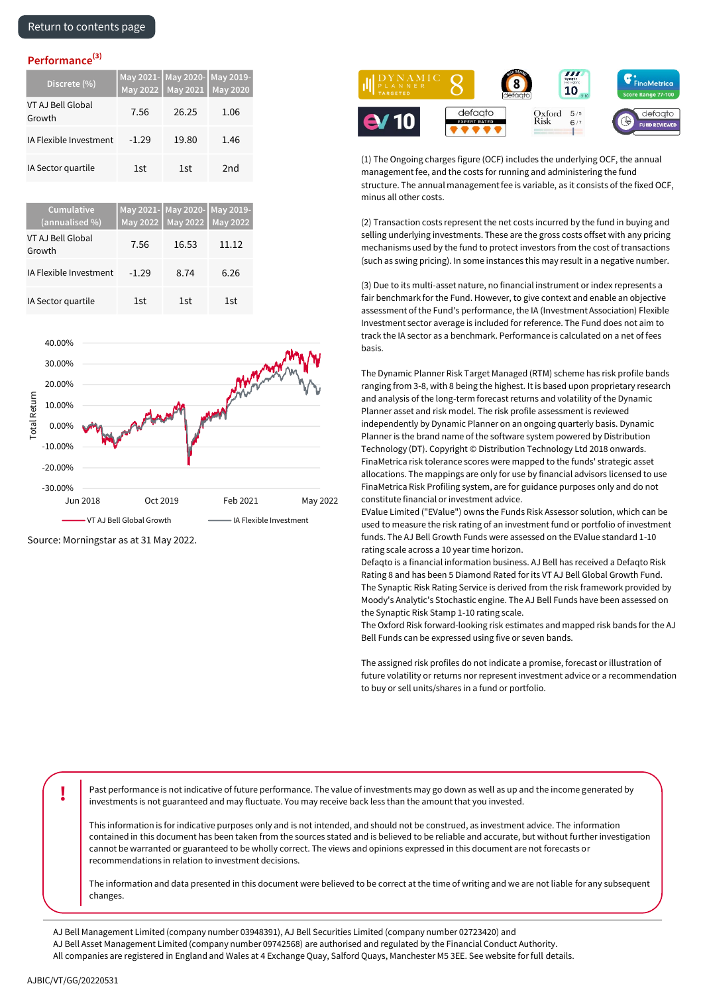| Discrete (%)                |         | May 2021- May 2020- May 2019-<br>May 2022   May 2021   May 2020 |      |
|-----------------------------|---------|-----------------------------------------------------------------|------|
| VT AJ Bell Global<br>Growth | 7.56    | 26.25                                                           | 1.06 |
| IA Flexible Investment      | $-1.29$ | 19.80                                                           | 1.46 |
| IA Sector quartile          | 1st     | 1st                                                             | 2nd  |

| <b>Cumulative</b><br>(annualised %) | May 2021- May 2020- May 2019- | May 2022 May 2022 May 2022 |       |
|-------------------------------------|-------------------------------|----------------------------|-------|
| VT AJ Bell Global<br>Growth         | 7.56                          | 16.53                      | 11.12 |
| IA Flexible Investment              | $-1.29$                       | 8.74                       | 6.26  |
| IA Sector quartile                  | 1st                           | 1st                        | 1st   |



Source: Morningstar as at 31 May 2022.



(1) The Ongoing charges figure (OCF) includes the underlying OCF, the annual management fee, and the costs for running and administering the fund structure. The annual management fee is variable, as it consists of the fixed OCF, minus all other costs.

(2) Transaction costs represent the net costs incurred by the fund in buying and selling underlying investments. These are the gross costs offset with any pricing mechanisms used by the fund to protect investors from the cost of transactions (such as swing pricing). In some instances this may result in a negative number.

(3) Due to its multi-asset nature, no financial instrument or index represents a fair benchmark for the Fund. However, to give context and enable an objective assessment of the Fund's performance, the IA (Investment Association) Flexible Investment sector average is included for reference. The Fund does not aim to track the IA sector as a benchmark. Performance is calculated on a net of fees basis.

The Dynamic Planner Risk Target Managed (RTM) scheme has risk profile bands ranging from 3-8, with 8 being the highest. It is based upon proprietary research and analysis of the long-term forecast returns and volatility of the Dynamic Planner asset and risk model. The risk profile assessment is reviewed independently by Dynamic Planner on an ongoing quarterly basis. Dynamic Planner is the brand name of the software system powered by Distribution Technology (DT). Copyright © Distribution Technology Ltd 2018 onwards. FinaMetrica risk tolerance scores were mapped to the funds' strategic asset allocations. The mappings are only for use by financial advisors licensed to use FinaMetrica Risk Profiling system, are for guidance purposes only and do not constitute financial or investment advice.

EValue Limited ("EValue") owns the Funds Risk Assessor solution, which can be used to measure the risk rating of an investment fund or portfolio of investment funds. The AJ Bell Growth Funds were assessed on the EValue standard 1-10 rating scale across a 10 year time horizon.

Defaqto is a financial information business. AJ Bell has received a Defaqto Risk Rating 8 and has been 5 Diamond Rated for its VT AJ Bell Global Growth Fund. The Synaptic Risk Rating Service is derived from the risk framework provided by Moody's Analytic's Stochastic engine. The AJ Bell Funds have been assessed on the Synaptic Risk Stamp 1-10 rating scale.

The Oxford Risk forward-looking risk estimates and mapped risk bands for the AJ Bell Funds can be expressed using five or seven bands.

The assigned risk profiles do not indicate a promise, forecast or illustration of future volatility or returns nor represent investment advice or a recommendation to buy or sell units/shares in a fund or portfolio.

**Past performance is not indicative of future performance. The value of investments may go down as well as up and the income generated by** investments is not guaranteed and may fluctuate. You may receive back less than the amount that you invested.

This information is for indicative purposes only and is not intended, and should not be construed, as investment advice. The information contained in this document has been taken from the sources stated and is believed to be reliable and accurate, but without further investigation cannot be warranted or guaranteed to be wholly correct. The views and opinions expressed in this document are not forecasts or recommendations in relation to investment decisions.

The information and data presented in this document were believed to be correct at the time of writing and we are not liable for any subsequent changes.

AJ Bell Management Limited (company number 03948391), AJ Bell Securities Limited (company number 02723420) and

AJ Bell Asset Management Limited (company number 09742568) are authorised and regulated by the Financial Conduct Authority.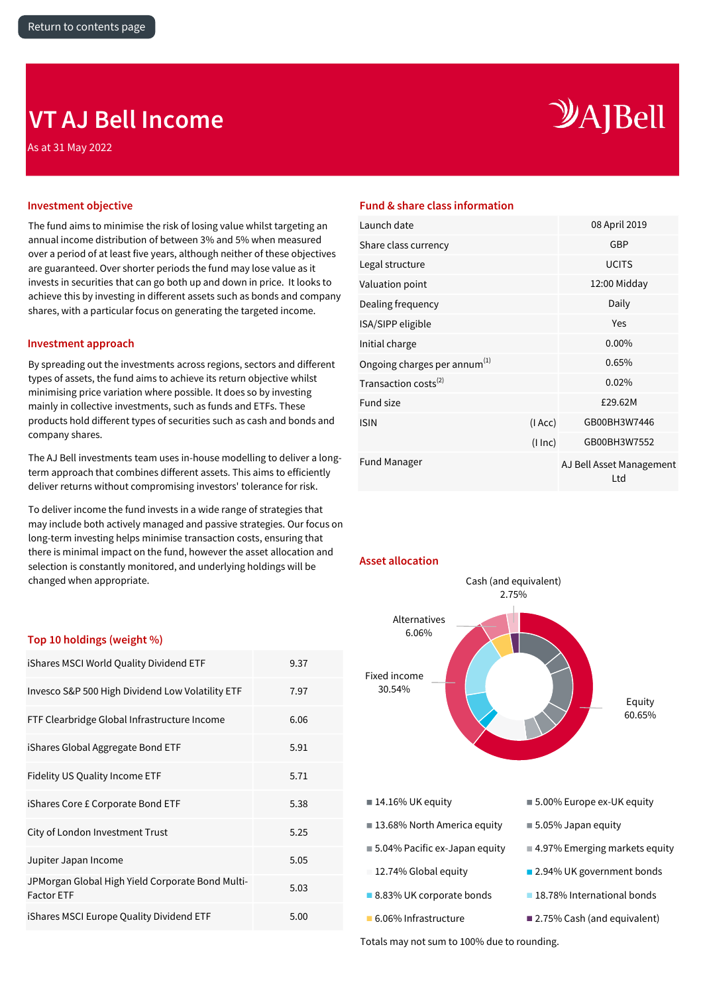### <span id="page-13-0"></span>**VT AJ Bell Income**

As at 31 May 2022

# $\mathcal{Y}$ A]Bell

The fund aims to minimise the risk of losing value whilst targeting an annual income distribution of between 3% and 5% when measured over a period of at least five years, although neither of these objectives are guaranteed. Over shorter periods the fund may lose value as it invests in securities that can go both up and down in price. It looks to achieve this by investing in different assets such as bonds and company shares, with a particular focus on generating the targeted income.

### **Investment approach**

By spreading out the investments across regions, sectors and different types of assets, the fund aims to achieve its return objective whilst minimising price variation where possible. It does so by investing mainly in collective investments, such as funds and ETFs. These products hold different types of securities such as cash and bonds and company shares.

The AJ Bell investments team uses in-house modelling to deliver a longterm approach that combines different assets. This aims to efficiently deliver returns without compromising investors' tolerance for risk.

To deliver income the fund invests in a wide range of strategies that may include both actively managed and passive strategies. Our focus on long-term investing helps minimise transaction costs, ensuring that there is minimal impact on the fund, however the asset allocation and selection is constantly monitored, and underlying holdings will be changed when appropriate.

### **Investment objective Fund & share class information**

**Asset allocation**

| Launch date                              |          | 08 April 2019                   |
|------------------------------------------|----------|---------------------------------|
| Share class currency                     |          | GBP                             |
| Legal structure                          |          | <b>UCITS</b>                    |
| Valuation point                          |          | 12:00 Midday                    |
| Dealing frequency                        |          | Daily                           |
| ISA/SIPP eligible                        |          | Yes                             |
| Initial charge                           |          | 0.00%                           |
| Ongoing charges per annum <sup>(1)</sup> |          | 0.65%                           |
| Transaction costs <sup>(2)</sup>         |          | 0.02%                           |
| <b>Fund size</b>                         |          | £29.62M                         |
| <b>ISIN</b>                              | (IAcc)   | GB00BH3W7446                    |
|                                          | (1 ln c) | GB00BH3W7552                    |
| <b>Fund Manager</b>                      |          | AJ Bell Asset Management<br>Ltd |



### **Top 10 holdings (weight %)**

| iShares MSCI World Quality Dividend ETF                               | 9.37 |
|-----------------------------------------------------------------------|------|
| Invesco S&P 500 High Dividend Low Volatility ETF                      | 7.97 |
| FTF Clearbridge Global Infrastructure Income                          | 6.06 |
| iShares Global Aggregate Bond ETF                                     | 5.91 |
| Fidelity US Quality Income ETF                                        | 5.71 |
| iShares Core £ Corporate Bond ETF                                     | 5.38 |
| City of London Investment Trust                                       | 5.25 |
| Jupiter Japan Income                                                  | 5.05 |
| JPMorgan Global High Yield Corporate Bond Multi-<br><b>Factor ETF</b> | 5.03 |
| iShares MSCI Europe Quality Dividend ETF                              | 5.00 |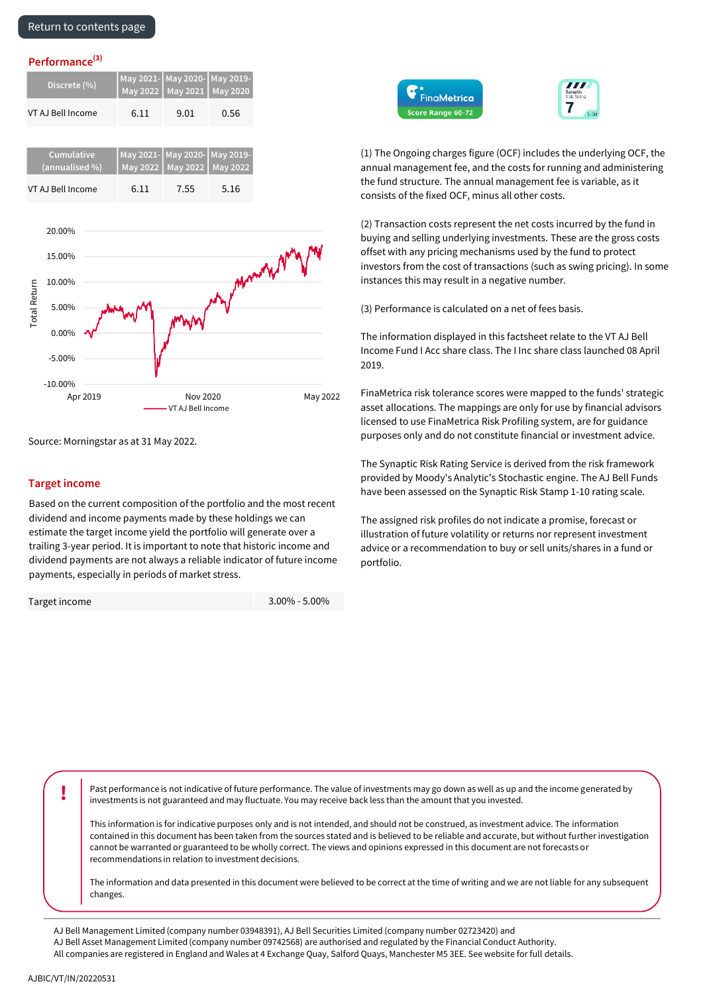### [Return to contents page](#page-0-0)

### $Performance<sup>(3)</sup>$

| Discrete (%)      | May 2021- May 2020- May 2019- | May 2022 May 2021 May 2020    |      |
|-------------------|-------------------------------|-------------------------------|------|
| VT AJ Bell Income | 6.11                          | 9.01                          | 0.56 |
|                   |                               |                               |      |
| <b>Cumulative</b> |                               | May 2021- May 2020- May 2019- |      |
| (annualised %)    |                               | May 2022 May 2022 May 2022    |      |
| VT AJ Bell Income | 6.11                          | 7.55                          | 5.16 |



Source: Morningstar as at 31 May 2022.

### **Target income**

Based on the current composition of the portfolio and the most recent dividend and income payments made by these holdings we can estimate the target income yield the portfolio will generate over a trailing 3-year period. It is important to note that historic income and dividend payments are not always a reliable indicator of future income payments, especially in periods of market stress.

Target income

3.00% - 5.00%





(1) The Ongoing charges figure (OCF) includes the underlying OCF, the annual management fee, and the costs for running and administering the fund structure. The annual management fee is variable, as it consists of the fixed OCF, minus all other costs.

(2) Transaction costs represent the net costs incurred by the fund in buying and selling underlying investments. These are the gross costs offset with any pricing mechanisms used by the fund to protect investors from the cost of transactions (such as swing pricing). In some instances this may result in a negative number.

(3) Performance is calculated on a net of fees basis.

The information displayed in this factsheet relate to the VT AJ Bell Income Fund I Acc share class. The I Inc share class launched 08 April 2019.

FinaMetrica risk tolerance scores were mapped to the funds' strategic asset allocations. The mappings are only for use by financial advisors licensed to use FinaMetrica Risk Profiling system, are for guidance purposes only and do not constitute financial or investment advice.

The Synaptic Risk Rating Service is derived from the risk framework provided by Moody's Analytic's Stochastic engine. The AJ Bell Funds have been assessed on the Synaptic Risk Stamp 1-10 rating scale.

The assigned risk profiles do not indicate a promise, forecast or illustration of future volatility or returns nor represent investment advice or a recommendation to buy or sell units/shares in a fund or portfolio.

**Past performance is not indicative of future performance. The value of investments may go down as well as up and the income generated by** investments is not guaranteed and may fluctuate. You may receive back less than the amount that you invested.

This information is for indicative purposes only and is not intended, and should not be construed, as investment advice. The information contained in this document has been taken from the sources stated and is believed to be reliable and accurate, but without further investigation cannot be warranted or guaranteed to be wholly correct. The views and opinions expressed in this document are not forecasts or recommendations in relation to investment decisions.

The information and data presented in this document were believed to be correct at the time of writing and we are not liable for any subsequent changes.

AJ Bell Management Limited (company number 03948391), AJ Bell Securities Limited (company number 02723420) and

AJ Bell Asset Management Limited (company number 09742568) are authorised and regulated by the Financial Conduct Authority.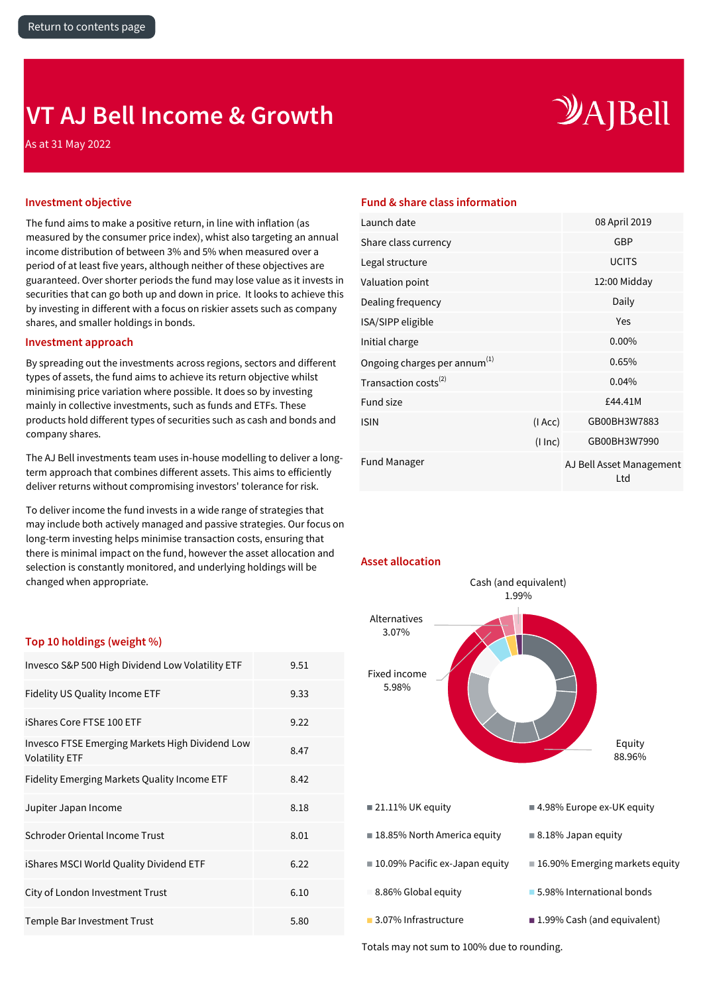## <span id="page-15-0"></span>**VT AJ Bell Income & Growth**

As at 31 May 2022

# $\mathcal{Y}$ A]Bell

The fund aims to make a positive return, in line with inflation (as measured by the consumer price index), whist also targeting an annual income distribution of between 3% and 5% when measured over a period of at least five years, although neither of these objectives are guaranteed. Over shorter periods the fund may lose value as it invests in securities that can go both up and down in price. It looks to achieve this by investing in different with a focus on riskier assets such as company shares, and smaller holdings in bonds.

### **Investment approach**

By spreading out the investments across regions, sectors and different types of assets, the fund aims to achieve its return objective whilst minimising price variation where possible. It does so by investing mainly in collective investments, such as funds and ETFs. These products hold different types of securities such as cash and bonds and company shares.

The AJ Bell investments team uses in-house modelling to deliver a longterm approach that combines different assets. This aims to efficiently deliver returns without compromising investors' tolerance for risk.

To deliver income the fund invests in a wide range of strategies that may include both actively managed and passive strategies. Our focus on long-term investing helps minimise transaction costs, ensuring that there is minimal impact on the fund, however the asset allocation and selection is constantly monitored, and underlying holdings will be changed when appropriate.

### **Investment objective Fund & share class information**

| Launch date                              |          | 08 April 2019                   |
|------------------------------------------|----------|---------------------------------|
| Share class currency                     |          | <b>GBP</b>                      |
| Legal structure                          |          | <b>UCITS</b>                    |
| Valuation point                          |          | 12:00 Midday                    |
| Dealing frequency                        |          | Daily                           |
| ISA/SIPP eligible                        |          | Yes                             |
| Initial charge                           |          | $0.00\%$                        |
| Ongoing charges per annum <sup>(1)</sup> |          | 0.65%                           |
| Transaction costs <sup>(2)</sup>         |          | 0.04%                           |
| Fund size                                |          | £44.41M                         |
| <b>ISIN</b>                              | (I Acc)  | GB00BH3W7883                    |
|                                          | (1 ln c) | GB00BH3W7990                    |
| <b>Fund Manager</b>                      |          | AJ Bell Asset Management<br>Ltd |



### **Top 10 holdings (weight %)**

| Invesco S&P 500 High Dividend Low Volatility ETF                         | 9.51 |
|--------------------------------------------------------------------------|------|
| Fidelity US Quality Income ETF                                           | 9.33 |
| iShares Core FTSE 100 ETF                                                | 9.22 |
| Invesco FTSE Emerging Markets High Dividend Low<br><b>Volatility ETF</b> | 8.47 |
| Fidelity Emerging Markets Quality Income ETF                             | 8.42 |
| Jupiter Japan Income                                                     | 8.18 |
| Schroder Oriental Income Trust                                           | 8.01 |
| iShares MSCI World Quality Dividend ETF                                  | 6.22 |
| City of London Investment Trust                                          | 6.10 |
| Temple Bar Investment Trust                                              | 5.80 |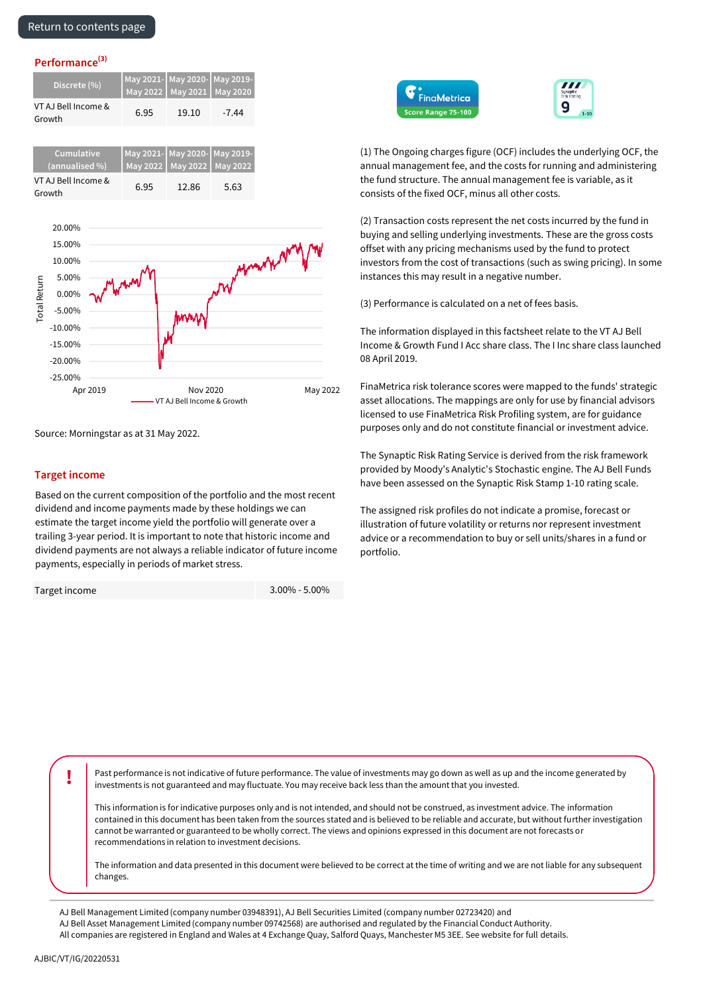| Discrete (%)                  | May 2022   May 2021   May 2020 | May 2021- May 2020- May 2019- |         |
|-------------------------------|--------------------------------|-------------------------------|---------|
| VT AJ Bell Income &<br>Growth | 6.95                           | 19.10                         | $-7.44$ |

| <b>Cumulative</b><br>(annualised %) |      | May 2021- May 2020- May 2019-<br>May 2022   May 2022   May 2022 |      |
|-------------------------------------|------|-----------------------------------------------------------------|------|
| VT AJ Bell Income &<br>Growth       | 6.95 | 12.86                                                           | 5.63 |



Source: Morningstar as at 31 May 2022.

### **Target income**

Based on the current composition of the portfolio and the most recent dividend and income payments made by these holdings we can estimate the target income yield the portfolio will generate over a trailing 3-year period. It is important to note that historic income and dividend payments are not always a reliable indicator of future income payments, especially in periods of market stress.

Target income

3.00% - 5.00%





(1) The Ongoing charges figure (OCF) includes the underlying OCF, the annual management fee, and the costs for running and administering the fund structure. The annual management fee is variable, as it consists of the fixed OCF, minus all other costs.

(2) Transaction costs represent the net costs incurred by the fund in buying and selling underlying investments. These are the gross costs offset with any pricing mechanisms used by the fund to protect investors from the cost of transactions (such as swing pricing). In some instances this may result in a negative number.

(3) Performance is calculated on a net of fees basis.

The information displayed in this factsheet relate to the VT AJ Bell Income & Growth Fund I Acc share class. The I Inc share class launched 08 April 2019.

FinaMetrica risk tolerance scores were mapped to the funds' strategic asset allocations. The mappings are only for use by financial advisors licensed to use FinaMetrica Risk Profiling system, are for guidance purposes only and do not constitute financial or investment advice.

The Synaptic Risk Rating Service is derived from the risk framework provided by Moody's Analytic's Stochastic engine. The AJ Bell Funds have been assessed on the Synaptic Risk Stamp 1-10 rating scale.

The assigned risk profiles do not indicate a promise, forecast or illustration of future volatility or returns nor represent investment advice or a recommendation to buy or sell units/shares in a fund or portfolio.

**!** Past performance is not indicative of future performance. The value of investments may go down as well as up and the income generated by investments is not guaranteed and may fluctuate. You may receive back less than the amount that you invested.

This information is for indicative purposes only and is not intended, and should not be construed, as investment advice. The information contained in this document has been taken from the sources stated and is believed to be reliable and accurate, but without further investigation cannot be warranted or guaranteed to be wholly correct. The views and opinions expressed in this document are not forecasts or recommendations in relation to investment decisions.

The information and data presented in this document were believed to be correct at the time of writing and we are not liable for any subsequent changes.

AJ Bell Management Limited (company number 03948391), AJ Bell Securities Limited (company number 02723420) and

AJ Bell Asset Management Limited (company number 09742568) are authorised and regulated by the Financial Conduct Authority.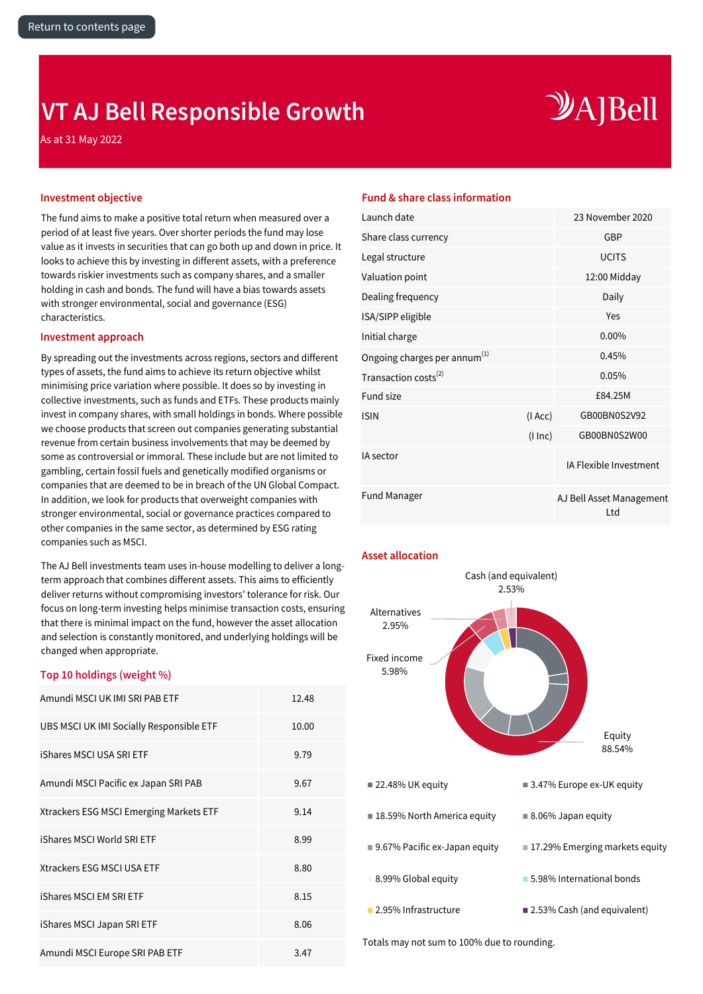## <span id="page-17-0"></span>**VT AJ Bell Responsible Growth**

As at 31 May 2022

# $\mathcal{Y}$ A]Bell

The fund aims to make a positive total return when measured over a period of at least five years. Over shorter periods the fund may lose value as it invests in securities that can go both up and down in price. It looks to achieve this by investing in different assets, with a preference towards riskier investments such as company shares, and a smaller holding in cash and bonds. The fund will have a bias towards assets with stronger environmental, social and governance (ESG) characteristics.

### **Investment approach**

By spreading out the investments across regions, sectors and different types of assets, the fund aims to achieve its return objective whilst minimising price variation where possible. It does so by investing in collective investments, such as funds and ETFs. These products mainly invest in company shares, with small holdings in bonds. Where possible we choose products that screen out companies generating substantial revenue from certain business involvements that may be deemed by some as controversial or immoral. These include but are not limited to gambling, certain fossil fuels and genetically modified organisms or companies that are deemed to be in breach of the UN Global Compact. In addition, we look for products that overweight companies with stronger environmental, social or governance practices compared to other companies in the same sector, as determined by ESG rating companies such as MSCI.

The AJ Bell investments team uses in-house modelling to deliver a longterm approach that combines different assets. This aims to efficiently deliver returns without compromising investors' tolerance for risk. Our focus on long-term investing helps minimise transaction costs, ensuring that there is minimal impact on the fund, however the asset allocation and selection is constantly monitored, and underlying holdings will be changed when appropriate.

### **Top 10 holdings (weight %)**

| Amundi MSCI UK IMI SRI PAB ETF           | 12.48 |
|------------------------------------------|-------|
| UBS MSCI UK IMI Socially Responsible ETF | 10.00 |
| iShares MSCI USA SRI ETF                 | 9.79  |
| Amundi MSCI Pacific ex Japan SRI PAB     | 9.67  |
| Xtrackers ESG MSCI Emerging Markets ETF  | 9.14  |
| iShares MSCI World SRI ETF               | 8.99  |
| Xtrackers ESG MSCI USA ETF               | 8.80  |
| iShares MSCI EM SRI ETF                  | 8.15  |
| iShares MSCI Japan SRI ETF               | 8.06  |
| Amundi MSCI Europe SRI PAB ETF           | 3.47  |

### **Investment objective Fund & share class information**

| Launch date                              |          | 23 November 2020                |
|------------------------------------------|----------|---------------------------------|
| Share class currency                     |          | GBP                             |
| Legal structure                          |          | <b>UCITS</b>                    |
| Valuation point                          |          | 12:00 Midday                    |
| Dealing frequency                        |          | Daily                           |
| ISA/SIPP eligible                        |          | Yes                             |
| Initial charge                           |          | 0.00%                           |
| Ongoing charges per annum <sup>(1)</sup> |          | 0.45%                           |
| Transaction costs <sup>(2)</sup>         |          | 0.05%                           |
| Fund size                                |          | £84.25M                         |
| <b>ISIN</b>                              | (IAcc)   | GB00BN0S2V92                    |
|                                          | (1 ln c) | GB00BN0S2W00                    |
| IA sector                                |          | IA Flexible Investment          |
| <b>Fund Manager</b>                      |          | AJ Bell Asset Management<br>Ltd |

### **Asset allocation**